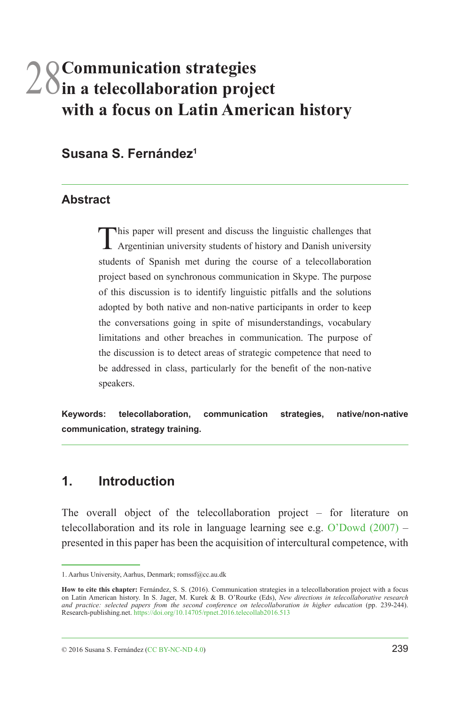# 28**Communication strategies in a telecollaboration project with a focus on Latin American history**

### **Susana S. Fernández1**

#### **Abstract**

This paper will present and discuss the linguistic challenges that Argentinian university students of history and Danish university students of Spanish met during the course of a telecollaboration project based on synchronous communication in Skype. The purpose of this discussion is to identify linguistic pitfalls and the solutions adopted by both native and non-native participants in order to keep the conversations going in spite of misunderstandings, vocabulary limitations and other breaches in communication. The purpose of the discussion is to detect areas of strategic competence that need to be addressed in class, particularly for the benefit of the non-native speakers.

**Keywords: telecollaboration, communication strategies, native/non-native communication, strategy training.**

### **1. Introduction**

The overall object of the telecollaboration project – for literature on telecollaboration and its role in language learning see e.g. [O'Dowd \(2007\)](#page-5-0) – presented in this paper has been the acquisition of intercultural competence, with

© 2016 Susana S. Fernández ([CC BY-NC-ND 4.0\)](https://creativecommons.org/licenses/by-nc-nd/4.0/) 239

<sup>1.</sup> Aarhus University, Aarhus, Denmark; romssf@cc.au.dk

**How to cite this chapter:** Fernández, S. S. (2016). Communication strategies in a telecollaboration project with a focus on Latin American history. In S. Jager, M. Kurek & B. O'Rourke (Eds), *New directions in telecollaborative research*<br>and practice: selected papers from the second conference on telecollaboration in higher education (pp. 23 Research-publishing.net. <https://doi.org/10.14705/rpnet.2016.telecollab2016.513>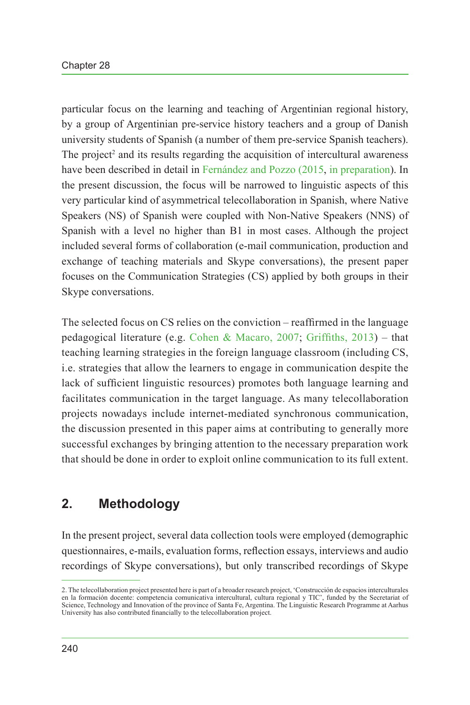particular focus on the learning and teaching of Argentinian regional history, by a group of Argentinian pre-service history teachers and a group of Danish university students of Spanish (a number of them pre-service Spanish teachers). The project<sup>2</sup> and its results regarding the acquisition of intercultural awareness have been described in detail in [Fernández and Pozzo \(2015,](#page-5-1) [in preparation\)](#page-5-2). In the present discussion, the focus will be narrowed to linguistic aspects of this very particular kind of asymmetrical telecollaboration in Spanish, where Native Speakers (NS) of Spanish were coupled with Non-Native Speakers (NNS) of Spanish with a level no higher than B1 in most cases. Although the project included several forms of collaboration (e-mail communication, production and exchange of teaching materials and Skype conversations), the present paper focuses on the Communication Strategies (CS) applied by both groups in their Skype conversations.

The selected focus on CS relies on the conviction – reaffirmed in the language pedagogical literature (e.g. [Cohen & Macaro, 2007](#page-4-0); [Griffiths, 2013](#page-5-3)) – that teaching learning strategies in the foreign language classroom (including CS, i.e. strategies that allow the learners to engage in communication despite the lack of sufficient linguistic resources) promotes both language learning and facilitates communication in the target language. As many telecollaboration projects nowadays include internet-mediated synchronous communication, the discussion presented in this paper aims at contributing to generally more successful exchanges by bringing attention to the necessary preparation work that should be done in order to exploit online communication to its full extent.

# **2. Methodology**

In the present project, several data collection tools were employed (demographic questionnaires, e-mails, evaluation forms, reflection essays, interviews and audio recordings of Skype conversations), but only transcribed recordings of Skype

<sup>2.</sup> The telecollaboration project presented here is part of a broader research project, 'Construcción de espacios interculturales en la formación docente: competencia comunicativa intercultural, cultura regional y TIC', funded by the Secretariat of Science, Technology and Innovation of the province of Santa Fe, Argentina. The Linguistic Research Programme at Aarhus University has also contributed financially to the telecollaboration project.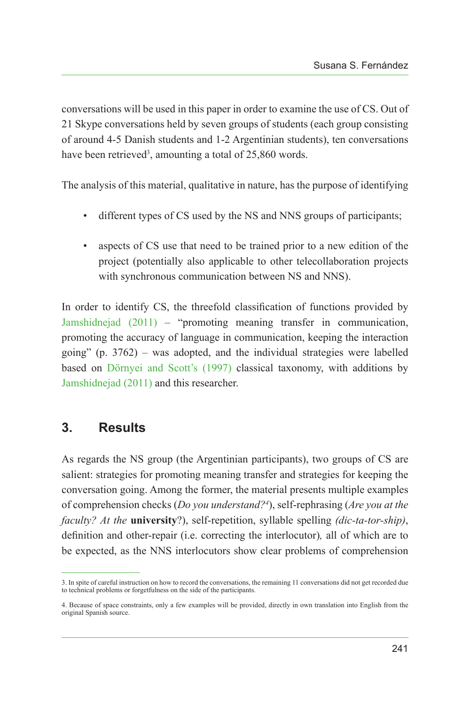conversations will be used in this paper in order to examine the use of CS. Out of 21 Skype conversations held by seven groups of students (each group consisting of around 4-5 Danish students and 1-2 Argentinian students), ten conversations have been retrieved<sup>3</sup>, amounting a total of 25,860 words.

The analysis of this material, qualitative in nature, has the purpose of identifying

- different types of CS used by the NS and NNS groups of participants;
- aspects of CS use that need to be trained prior to a new edition of the project (potentially also applicable to other telecollaboration projects with synchronous communication between NS and NNS).

In order to identify CS, the threefold classification of functions provided by [Jamshidnejad \(2011\)](#page-5-4) – "promoting meaning transfer in communication, promoting the accuracy of language in communication, keeping the interaction going" (p. 3762) – was adopted, and the individual strategies were labelled based on [Dörnyei and Scott's \(1997\)](#page-4-1) classical taxonomy, with additions by [Jamshidnejad \(2011\)](#page-5-4) and this researcher.

## **3. Results**

As regards the NS group (the Argentinian participants), two groups of CS are salient: strategies for promoting meaning transfer and strategies for keeping the conversation going. Among the former, the material presents multiple examples of comprehension checks (*Do you understand?4* ), self-rephrasing (*Are you at the faculty? At the* **university**?), self-repetition, syllable spelling *(dic-ta-tor-ship)*, definition and other-repair (i.e. correcting the interlocutor)*,* all of which are to be expected, as the NNS interlocutors show clear problems of comprehension

<sup>3.</sup> In spite of careful instruction on how to record the conversations, the remaining 11 conversations did not get recorded due to technical problems or forgetfulness on the side of the participants.

<sup>4.</sup> Because of space constraints, only a few examples will be provided, directly in own translation into English from the original Spanish source.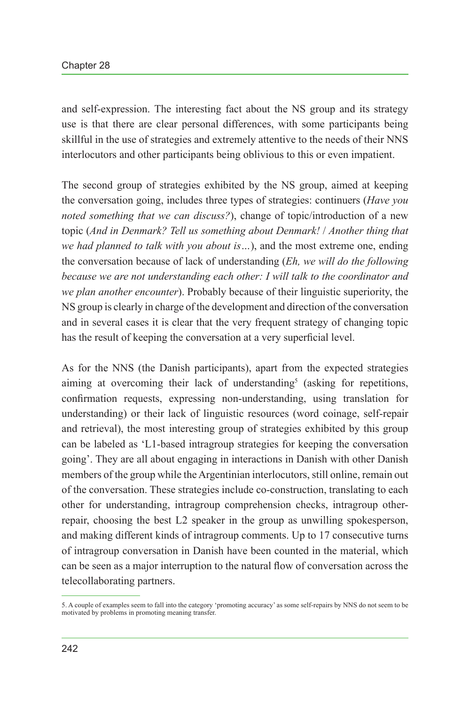and self-expression. The interesting fact about the NS group and its strategy use is that there are clear personal differences, with some participants being skillful in the use of strategies and extremely attentive to the needs of their NNS interlocutors and other participants being oblivious to this or even impatient.

The second group of strategies exhibited by the NS group, aimed at keeping the conversation going, includes three types of strategies: continuers (*Have you noted something that we can discuss?*), change of topic/introduction of a new topic (*And in Denmark? Tell us something about Denmark!* / *Another thing that we had planned to talk with you about is…*), and the most extreme one, ending the conversation because of lack of understanding (*Eh, we will do the following because we are not understanding each other: I will talk to the coordinator and we plan another encounter*). Probably because of their linguistic superiority, the NS group is clearly in charge of the development and direction of the conversation and in several cases it is clear that the very frequent strategy of changing topic has the result of keeping the conversation at a very superficial level.

As for the NNS (the Danish participants), apart from the expected strategies aiming at overcoming their lack of understanding<sup>5</sup> (asking for repetitions, confirmation requests, expressing non-understanding, using translation for understanding) or their lack of linguistic resources (word coinage, self-repair and retrieval), the most interesting group of strategies exhibited by this group can be labeled as 'L1-based intragroup strategies for keeping the conversation going'. They are all about engaging in interactions in Danish with other Danish members of the group while the Argentinian interlocutors, still online, remain out of the conversation. These strategies include co-construction, translating to each other for understanding, intragroup comprehension checks, intragroup otherrepair, choosing the best L2 speaker in the group as unwilling spokesperson, and making different kinds of intragroup comments. Up to 17 consecutive turns of intragroup conversation in Danish have been counted in the material, which can be seen as a major interruption to the natural flow of conversation across the telecollaborating partners.

<sup>5.</sup> A couple of examples seem to fall into the category 'promoting accuracy' as some self-repairs by NNS do not seem to be motivated by problems in promoting meaning transfer.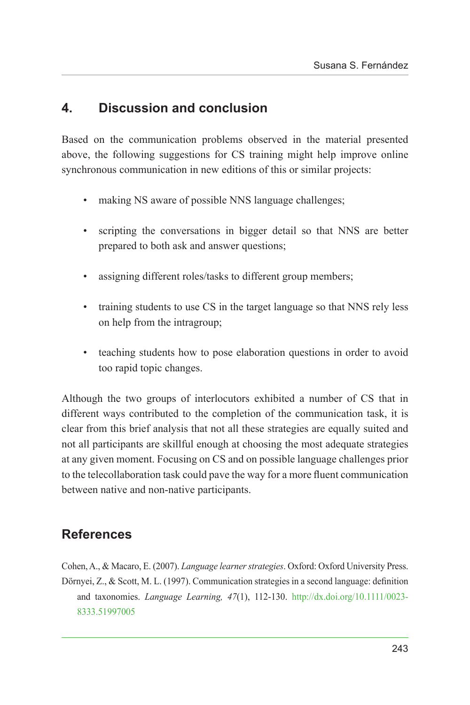# **4. Discussion and conclusion**

Based on the communication problems observed in the material presented above, the following suggestions for CS training might help improve online synchronous communication in new editions of this or similar projects:

- making NS aware of possible NNS language challenges;
- scripting the conversations in bigger detail so that NNS are better prepared to both ask and answer questions;
- assigning different roles/tasks to different group members;
- training students to use CS in the target language so that NNS rely less on help from the intragroup;
- teaching students how to pose elaboration questions in order to avoid too rapid topic changes.

Although the two groups of interlocutors exhibited a number of CS that in different ways contributed to the completion of the communication task, it is clear from this brief analysis that not all these strategies are equally suited and not all participants are skillful enough at choosing the most adequate strategies at any given moment. Focusing on CS and on possible language challenges prior to the telecollaboration task could pave the way for a more fluent communication between native and non-native participants.

# **References**

<span id="page-4-1"></span><span id="page-4-0"></span>Cohen, A., & Macaro, E. (2007). *Language learner strategies*. Oxford: Oxford University Press. Dörnyei, Z., & Scott, M. L. (1997). Communication strategies in a second language: definition and taxonomies. *Language Learning, 47*(1), 112-130. [http://dx.doi.org/10.1111/0023-](http://dx.doi.org/10.1111/0023-8333.51997005) [8333.51997005](http://dx.doi.org/10.1111/0023-8333.51997005)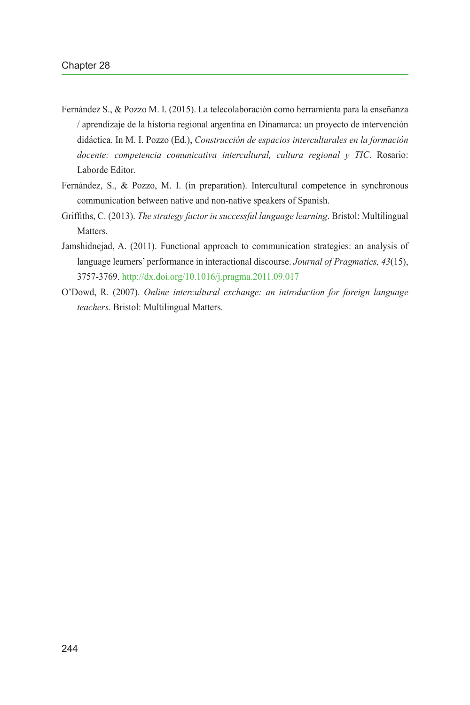- <span id="page-5-1"></span>Fernández S., & Pozzo M. I. (2015). La telecolaboración como herramienta para la enseñanza / aprendizaje de la historia regional argentina en Dinamarca: un proyecto de intervención didáctica. In M. I. Pozzo (Ed.), *Construcción de espacios interculturales en la formación docente: competencia comunicativa intercultural, cultura regional y TIC*. Rosario: Laborde Editor.
- <span id="page-5-2"></span>Fernández, S., & Pozzo, M. I. (in preparation). Intercultural competence in synchronous communication between native and non-native speakers of Spanish.
- <span id="page-5-3"></span>Griffiths, C. (2013). *The strategy factor in successful language learning*. Bristol: Multilingual **Matters**
- <span id="page-5-4"></span>Jamshidnejad, A. (2011). Functional approach to communication strategies: an analysis of language learners' performance in interactional discourse. *Journal of Pragmatics, 43*(15), 3757-3769.<http://dx.doi.org/10.1016/j.pragma.2011.09.017>
- <span id="page-5-0"></span>O'Dowd, R. (2007). *Online intercultural exchange: an introduction for foreign language teachers*. Bristol: Multilingual Matters.